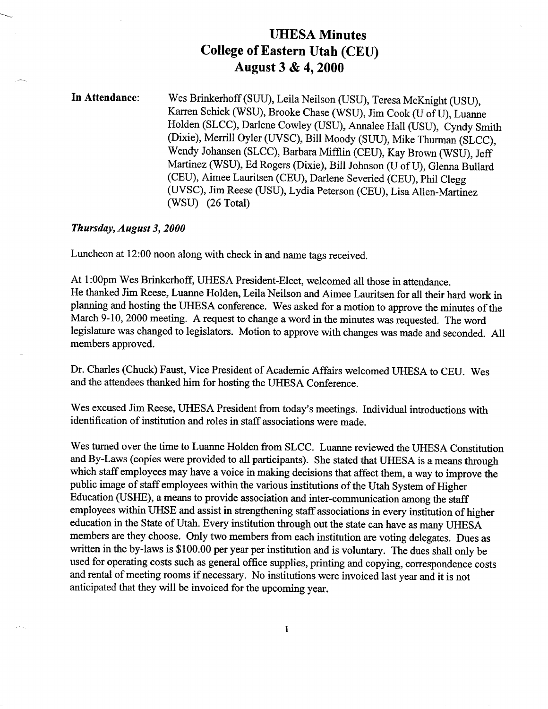## **UHESA Minutes College of Eastern Utah (CEU) August 3 & 4,2000**

**In Attendance:** Wes Brinkerhoff (SUU), Leila Neilson (USU), Teresa McKnight (USU), Karren Schick (WSU), Brooke Chase (WSU), Jim Cook (U of U), Luanne Holden (SLCC), Darlene Cowley (USU), Annalee Hall (USU), Cyndy Smith (Dixie), Merrill Oyler (UVSC), Bill Moody (SUU), Mike Thurman (SLCC), Wendy Johansen (SLCC), Barbara Mifflin (CEU), Kay Brown (WSU), Jeff Martinez (WSU), Ed Rogers (Dixie), Bill Johnson (U of U), Glenna Bullard (CEU), Aimee Lauritsen (CEU), Darlene Severied (CEU), Phil Clegg (UVSC), Jim Reese (USU), Lydia Peterson (CEU), Lisa Allen-Martinez (WSU) (26 Total)

#### *Thursday, August 3, 2000*

Luncheon at 12:00 noon along with check in and name tags received.

At 1:00pm Wes Brinkerhoff, UHESA President-Elect, welcomed all those in attendance. He thanked Jim Reese, Luanne Holden, Leila Neilson and Aimee Lauritsen for all their hard work in planning and hosting the UHESA conference. Wes asked for a motion to approve the minutes of the March 9-10, 2000 meeting. A request to change a word in the minutes was requested. The word legislature was changed to legislators. Motion to approve with changes was made and seconded. All members approved.

Dr. Charles (Chuck) Faust, Vice President of Academic Affairs welcomed UHESA to CEU. Wes and the attendees thanked him for hosting the UHESA Conference.

Wes excused Jim Reese, UHESA President from today's meetings. Individual introductions with identification of institution and roles in staff associations were made.

Wes turned over the time to Luanne Holden from SLCC. Luanne reviewed the UHESA Constitution and By-Laws (copies were provided to all participants). She stated that UHESA is a means through which staff employees may have a voice in making decisions that affect them, a way to improve the public image of staff employees within the various institutions of the Utah System of Higher Education (USHE), a means to provide association and inter-communication among the staff employees within UHSE and assist in strengthening staff associations in every institution of higher education in the State of Utah. Every institution through out the state can have as many UHESA members are they choose. Only two members from each institution are voting delegates. Dues as written in the by-laws is \$100.00 per year per institution and is voluntary. The dues shall only be used for operating costs such as general office supplies, printing and copying, correspondence costs and rental of meeting rooms if necessary. No institutions were invoiced last year and it is not anticipated that they will be invoiced for the upcoming year.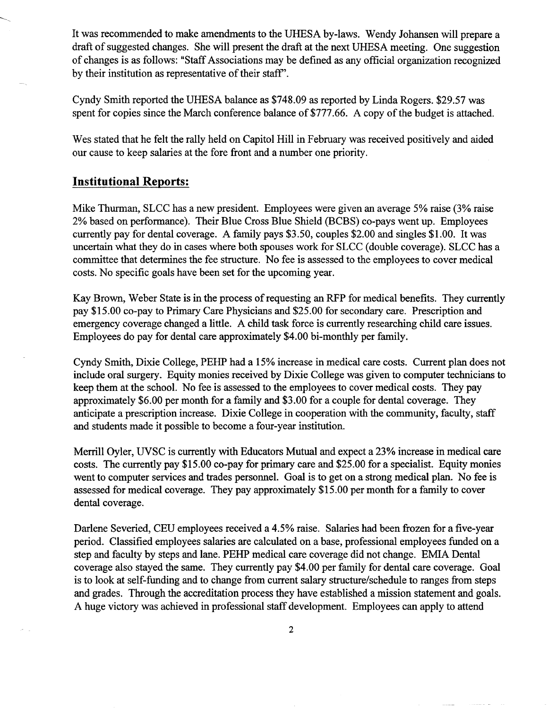It was recommended to make amendments to the UHESA by-laws. Wendy Johansen will prepare a draft of suggested changes. She will present the draft at the next UHESA meeting. One suggestion of changes is as follows: "Staff Associations may be defined as any official organization recognized by their institution as representative of their staff".

Cyndy Smith reported the UHESA balance as \$748.09 as reported by Linda Rogers. \$29.57 was spent for copies since the March conference balance of \$777.66. A copy of the budget is attached.

Wes stated that he felt the rally held on Capitol Hill in February was received positively and aided our cause to keep salaries at the fore front and a number one priority.

#### **Institutional Reports;**

Mike Thurman, SLCC has a new president. Employees were given an average 5% raise (3% raise 2% based on performance). Their Blue Cross Blue Shield (BCBS) co-pays went up. Employees currently pay for dental coverage. A family pays \$3.50, couples \$2.00 and singles \$1.00. It was uncertain what they do in cases where both spouses work for SLCC (double coverage). SLCC has a committee that determines the fee structure. No fee is assessed to the employees to cover medical costs. No specific goals have been set for the upcoming year.

Kay Brown, Weber State is in the process of requesting an RFP for medical benefits. They currently pay \$15.00 co-pay to Primary Care Physicians and \$25.00 for secondary care. Prescription and emergency coverage changed a little. A child task force is currently researching child care issues. Employees do pay for dental care approximately \$4.00 bi-monthly per family.

Cyndy Smith, Dixie College, PEHP had a 15% increase in medical care costs. Current plan does not include oral surgery. Equity monies received by Dixie College was given to computer technicians to keep them at the school. No fee is assessed to the employees to cover medical costs. They pay approximately \$6.00 per month for a family and \$3.00 for a couple for dental coverage. They anticipate a prescription increase. Dixie College in cooperation with the community, faculty, staff and students made it possible to become a four-year institution.

Merrill Oyler, UVSC is currently with Educators Mutual and expect a 23% increase in medical care costs. The currently pay \$15.00 co-pay for primary care and \$25.00 for a specialist. Equity monies went to computer services and trades personnel. Goal is to get on a strong medical plan. No fee is assessed for medical coverage. They pay approximately \$15.00 per month for a family to cover dental coverage.

Darlene Severied, CEU employees received a 4.5% raise. Salaries had been frozen for a five-year period. Classified employees salaries are calculated on a base, professional employees funded on a step and faculty by steps and lane. PEHP medical care coverage did not change. EMIA Dental coverage also stayed the same. They currently pay \$4.00 per family for dental care coverage. Goal is to look at self-funding and to change from current salary structure/schedule to ranges from steps and grades. Through the accreditation process they have established a mission statement and goals. A huge victory was achieved in professional staff development. Employees can apply to attend

 $\overline{2}$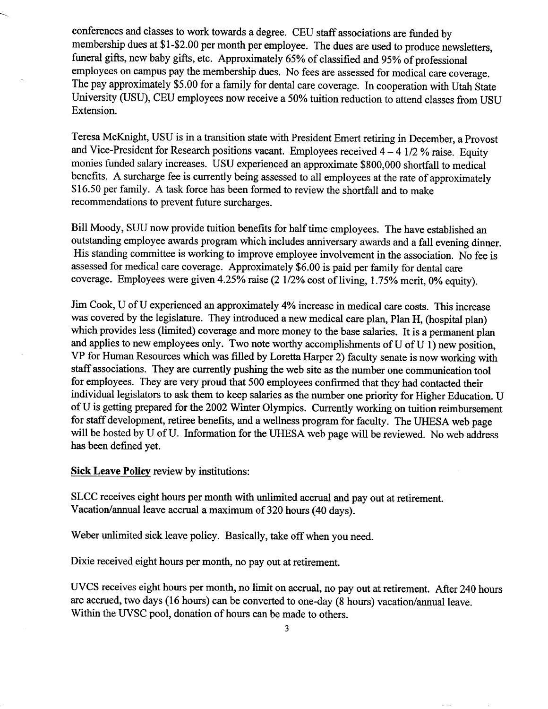conferences and classes to work towards a degree. CEU staff associations are funded by membership dues at \$1-\$2.00 per month per employee. The dues are used to produce newsletters, funeral gifts, new baby gifts, etc. Approximately 65% of classified and 95% of professional employees on campus pay the membership dues. No fees are assessed for medical care coverage. The pay approximately \$5.00 for a family for dental care coverage. In cooperation with Utah State University (USU), CEU employees now receive a 50% tuition reduction to attend classes from USU Extension.

Teresa McKnight, USU is in a transition state with President Emert retiring in December, a Provost and Vice-President for Research positions vacant. Employees received *4-41/2%* raise. Equity monies funded salary increases. USU experienced an approximate \$800,000 shortfall to medical benefits. A surcharge fee is currently being assessed to all employees at the rate of approximately \$16.50 per family. A task force has been formed to review the shortfall and to make recommendations to prevent future surcharges.

Bill Moody, SUU now provide tuition benefits for half time employees. The have established an outstanding employee awards program which includes anniversary awards and a fall evening dinner. His standing committee is working to improve employee involvement in the association. No fee is assessed for medical care coverage. Approximately \$6.00 is paid per family for dental care coverage. Employees were given 4.25% raise (2 1/2% cost of living, 1.75% merit, 0% equity).

Jim Cook, U of U experienced an approximately 4% increase in medical care costs. This increase was covered by the legislature. They introduced a new medical care plan, Plan H, (hospital plan) which provides less (limited) coverage and more money to the base salaries. It is a permanent plan and applies to new employees only. Two note worthy accomplishments of U of U 1) new position, VP for Human Resources which was filled by Loretta Harper 2) faculty senate is now working with staff associations. They are currently pushing the web site as the number one communication tool for employees. They are very proud that 500 employees confirmed that they had contacted their individual legislators to ask them to keep salaries as the number one priority for Higher Education. U of U is getting prepared for the 2002 Whiter Olympics. Currently working on tuition reimbursement for staff development, retiree benefits, and a wellness program for faculty. The UHESA web page will be hosted by U of U. Information for the UHESA web page will be reviewed. No web address has been defined yet.

**Sick Leave Policy** review by institutions:

SLCC receives eight hours per month with unlimited accrual and pay out at retirement. Vacation/annual leave accrual a maximum of 320 hours (40 days).

Weber unlimited sick leave policy. Basically, take off when you need.

Dixie received eight hours per month, no pay out at retirement.

UVCS receives eight hours per month, no limit on accrual, no pay out at retirement. After 240 hours are accrued, two days (16 hours) can be converted to one-day (8 hours) vacation/annual leave. Within the UVSC pool, donation of hours can be made to others.

3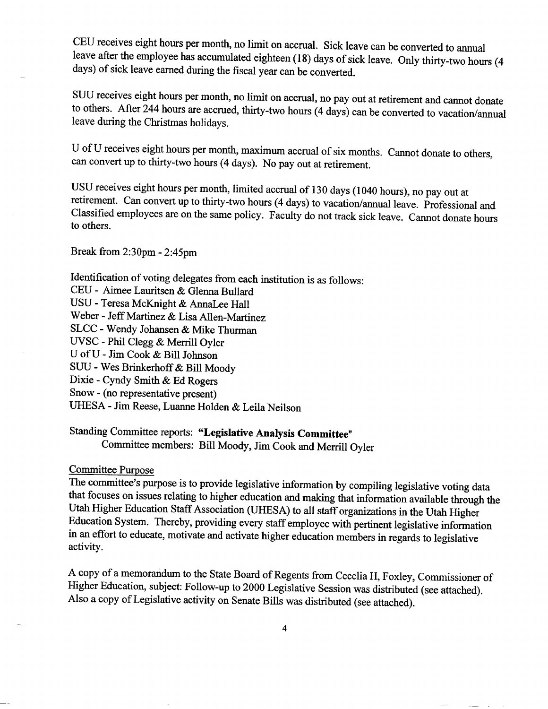CEU receives eight hours per month, no limit on accrual. Sick leave can be converted to annual leave after the employee has accumulated eighteen (18) days of sick leave. Only thirty-two hours (4 days) of sick leave earned during the fiscal year can be converted.

SUU receives eight hours per month, no limit on accrual, no pay out at retirement and cannot donate to others. After 244 hours are accrued, thirty-two hours (4 days) can be converted to vacation/annual leave during the Christmas holidays.

U of U receives eight hours per month, maximum accrual of six months. Cannot donate to others, can convert up to thirty-two hours (4 days). No pay out at retirement.

USU receives eight hours per month, limited accrual of 130 days (1040 hours), no pay out at retirement. Can convert up to thirty-two hours (4 days) to vacation/annual leave. Professional and Classified employees are on the same policy. Faculty do not track sick leave. Cannot donate hours to others.

Break from 2:3Opm - 2:45pm

Identification of voting delegates from each institution is as follows:

CEU - Aimee Lauritsen & Glenna Bullard

USU - Teresa McKnight *&* AnnaLee Hall

Weber - Jeff Martinez & Lisa Allen-Martinez

SLCC - Wendy Johansen & Mike Thurman

UVSC - Phil Clegg & Merrill Oyler

U of U - Jim Cook & Bill Johnson

SUU - Wes Brinkerhoff & Bill Moody

Dixie - Cyndy Smith & Ed Rogers

Snow - (no representative present)

UHESA - Jim Reese, Luanne Holden & Leila Neilson

# Standing Committee reports: **"Legislative Analysis Committee"**

Committee members: Bill Moody, Jim Cook and Merrill Oyler

#### Committee Purpose

The committee's purpose is to provide legislative information by compiling legislative voting data that focuses on issues relating to higher education and making that information available through the Utah Higher Education Staff Association (UHESA) to all staff organizations in the Utah Higher Education System. Thereby, providing every staff employee with pertinent legislative information in an effort to educate, motivate and activate higher education members in regards to legislative activity.

A copy of a memorandum to the State Board of Regents from Cecelia H, Foxley, Commissioner of Higher Education, subject: Follow-up to 2000 Legislative Session was distributed (see attached). Also a copy of Legislative activity on Senate Bills was distributed (see attached).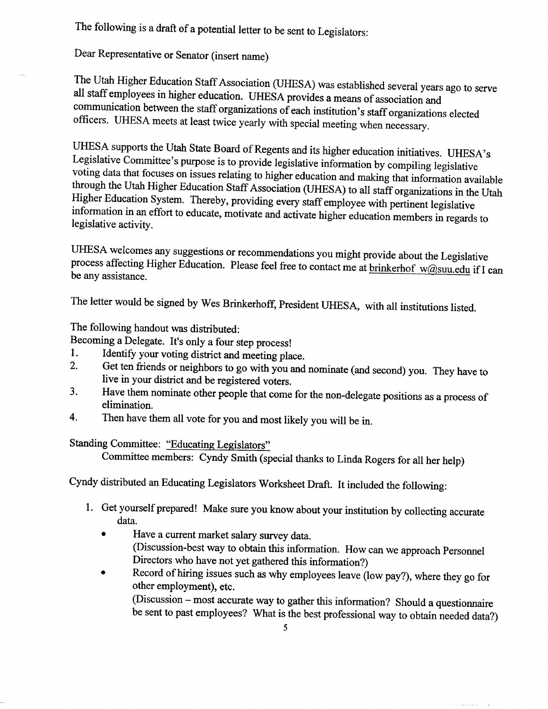The following is a draft of a potential letter to be sent to Legislators:

Dear Representative or Senator (insert name)

The Utah Higher Education Staff Association (UHESA) was established several years ago to serve all staff employees in higher education. UHESA provides a means of association and communication between the staff organizations of each institution's staff organizations elected officers. UHESA meets at least twice yearly with special meeting when necessary.

UHESA supports the Utah State Board of Regents and its higher education initiatives. UHESA's Legislative Committee's purpose is to provide legislative information by compiling legislative voting data that focuses on issues relating to higher education and making that information available through the Utah Higher Education Staff Association (UHESA) to all staff organizations in the Utah Higher Education System. Thereby, providing every staff employee with pertinent legislative information in an effort to educate, motivate and activate higher education members in regards to legislative activity.

UHESA welcomes any suggestions or recommendations you might provide about the Legislative process affecting Higher Education. Please feel free to contact me at brinkerhof w@suu.edu if I can be any assistance.

The letter would be signed by Wes Brinkerhoff, President UHESA, with all institutions listed.

### The following handout was distributed:

Becoming a Delegate. It's only a four step process!

- 1. Identify your voting district and meeting place.
- 2. Get ten friends or neighbors to go with you and nominate (and second) you. They have to live in your district and be registered voters.
- 3. Have them nominate other people that come for the non-delegate positions as a process of elimination.
- 4. Then have them all vote for you and most likely you will be in.

### Standing Committee: "Educating Legislators"

Committee members: Cyndy Smith (special thanks to Linda Rogers for all her help)

Cyndy distributed an Educating Legislators Worksheet Draft. It included the following:

- 1. Get yourself prepared! Make sure you know about your institution by collecting accurate data.
	- $\bullet$ • Have a current market salary survey data. (Discussion-best way to obtain this information. How can we approach Personnel Directors who have not yet gathered this information?)
	- Record of hiring issues such as why employees leave (low pay?), where they go for other employment), etc.

(Discussion - most accurate way to gather this information? Should a questionnaire  $b$  sent to past employees? What is the best professional way to obtain needed data.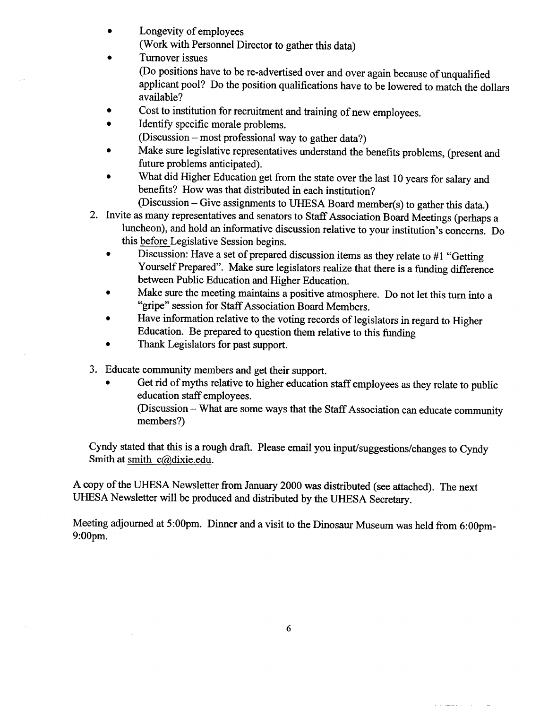- Longevity of employees (Work with Personnel Director to gather this data)
- Turnover issues (Do positions have to be re-advertised over and over again because of unqualified applicant pool? Do the position qualifications have to be lowered to match the dollars available?
- Cost to institution for recruitment and training of new employees.
- Identify specific morale problems.
	- (Discussion most professional way to gather data?)
- Make sure legislative representatives understand the benefits problems, (present and future problems anticipated).
- What did Higher Education get from the state over the last 10 years for salary and benefits? How was that distributed in each institution?

(Discussion - Give assignments to UHESA Board member(s) to gather this data.)

- 2. Invite as many representatives and senators to Staff Association Board Meetings (perhaps a luncheon), and hold an informative discussion relative to your institution's concerns. Do this before Legislative Session begins.
	- Discussion: Have a set of prepared discussion items as they relate to #1 "Getting Yourself Prepared". Make sure legislators realize that there is a funding difference between Public Education and Higher Education.
	- Make sure the meeting maintains a positive atmosphere. Do not let this turn into a "gripe" session for Staff Association Board Members.
	- Have information relative to the voting records of legislators in regard to Higher Education. Be prepared to question them relative to this funding
	- Thank Legislators for past support.
- 3. Educate community members and get their support.
	- Get rid of myths relative to higher education staff employees as they relate to public education staff employees.

(Discussion - What are some ways that the Staff Association can educate community members?)

Cyndy stated that this is a rough draft. Please email you input/suggestions/changes to Cyndy Smith at smith c@dixie.edu.

A copy of the UHESA Newsletter from January 2000 was distributed (see attached). The next UHESA Newsletter will be produced and distributed by the UHESA Secretary.

Meeting adjourned at 5:00pm. Dinner and a visit to the Dinosaur Museum was held from 6:00pm-9:00pm.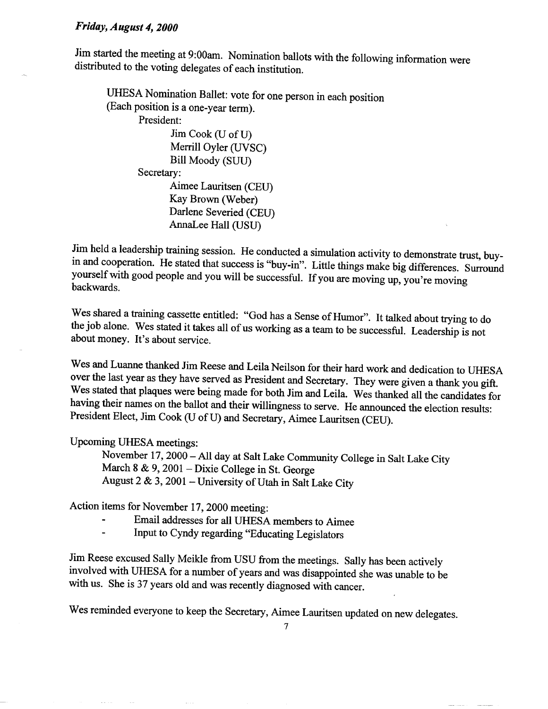#### *Friday, August 4,2000*

Jim started the meeting at 9:00am. Nomination ballots with the following information were distributed to the voting delegates of each institution.

UHESA Nomination Ballet: vote for one person in each position (Each position is a one-year term).

President:

Jim Cook (U of U) Merrill Oyler (UVSC) Bill Moody (SUU) Secretary: Aimee Lauritsen (CEU) Kay Brown (Weber) Darlene Severied (CEU)

AnnaLee Hall (USU)

Jim held a leadership training session. He conducted a simulation activity to demonstrate trust, buyin and cooperation. He stated that success is "buy-in". Little things make big differences. Surround yourself with good people and you will be successful. If you are moving up, you're moving backwards.

Wes shared a training cassette entitled: "God has a Sense of Humor". It talked about trying to do the job alone. Wes stated it takes all of us working as a team to be successful. Leadership is not about money. It's about service.

Wes and Luanne thanked Jim Reese and Leila Neilson for their hard work and dedication to UHESA over the last year as they have served as President and Secretary. They were given a thank you gift. Wes stated that plaques were being made for both Jim and Leila. Wes thanked all the candidates for having their names on the ballot and their willingness to serve. He announced the election results: President Elect, Jim Cook (U of U) and Secretary, Aimee Lauritsen (CEU).

Upcoming UHESA meetings:

November 17,2000 - All day at Salt Lake Community College in Salt Lake City March 8 & 9, 2001 - Dixie College in St. George August 2 & 3,2001 - University of Utah in Salt Lake City

Action items for November 17,2000 meeting:

- Email addresses for all UHESA members to Aimee
- Input to Cyndy regarding "Educating Legislators

Jim Reese excused Sally Meikle from USU from the meetings. Sally has been actively involved with UHESA for a number of years and was disappointed she was unable to be with us. She is 37 years old and was recently diagnosed with cancer.

Wes reminded everyone to keep the Secretary, Aimee Lauritsen updated on new delegates.

 $\overline{7}$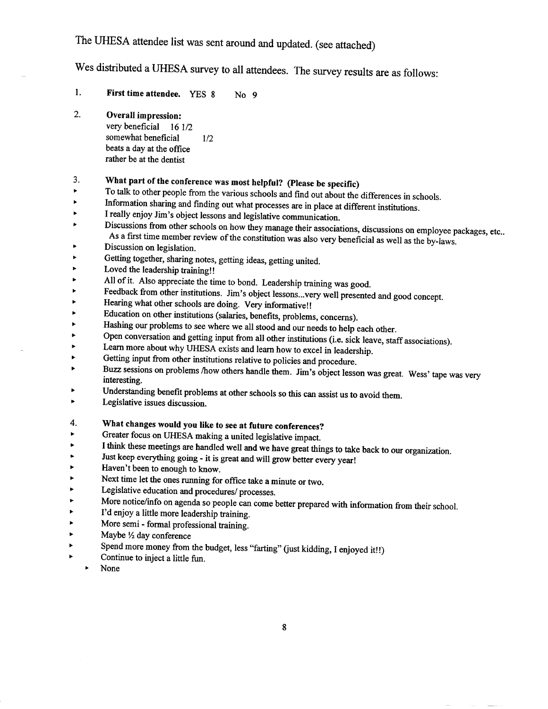## The UHESA attendee list was sent around and updated, (see attached)

Wes distributed a UHESA survey to all attendees. The survey results are as follows:

1. First time attendee. YES 8 No 9

2. Overall impression: very beneficial 161/2 somewhat beneficial 1/2 beats a day at the office rather be at the dentist

### 3. What part of the conference was most helpful? (Please be specific)

- **\*** To talk to other people from the various schools and find out about the differences in schools.
- Information sharing and finding out what processes are in place at different institutions. Ł
- I really enjoy Jim's object lessons and legislative communication. ь
- Discussions from other schools on how they manage their associations, discussions on employee packages, etc.. Ł As a first time member review of the constitution was also very beneficial as well as the by-laws.
- ¥ Discussion on legislation.
- Getting together, sharing notes, getting ideas, getting united.  $\blacktriangleright$
- $\ddot{\phantom{1}}$ Loved the leadership training!!
- *<sup>+</sup>* All of it. Also appreciate the time to bond. Leadership training was good. Ł Й
- »• Feedback from other institutions. Jim's object lessons...very well presented and good concept.
- Hearing what other schools are doing. Very informative!!  $\blacktriangleright$
- Education on other institutions (salaries, benefits, problems, concerns). ¥
- *<sup>&</sup>gt;* Hashing our problems to see where we all stood and our needs to help each other. ь
- Open conversation and getting input from all other institutions (i.e. sick leave, staff associations).
- Learn more about why UHESA exists and learn how to excel in leadership.
- Getting input from other institutions relative to policies and procedure.
- Buzz sessions on problems /how others handle them. Jim's object lesson was great. Wess' tape was very interesting.
- Understanding benefit problems at other schools so this can assist us to avoid them.
- Þ Legislative issues discussion.

#### 4. What changes would you like to see at future conferences?

- k, Greater focus on UHESA making a united legislative impact.
- I think these meetings are handled well and we have great things to take back to our organization.  $\blacktriangleright$
- Just keep everything going it is great and will grow better every year!
- Haven't been to enough to know.
- Next time let the ones running for office take a minute or two.
- Legislative education and procedures/ processes.
- More notice/info on agenda so people can come better prepared with information from their school. þ.
- I'd enjoy a little more leadership training.
- *>* More semi formal professional training.
- *\*•* Maybe *l/2* day conference
- Spend more money from the budget, less "farting" (just kidding, I enjoyed it!!) Ł Ł
- Continue to inject a little fun.
	- >• None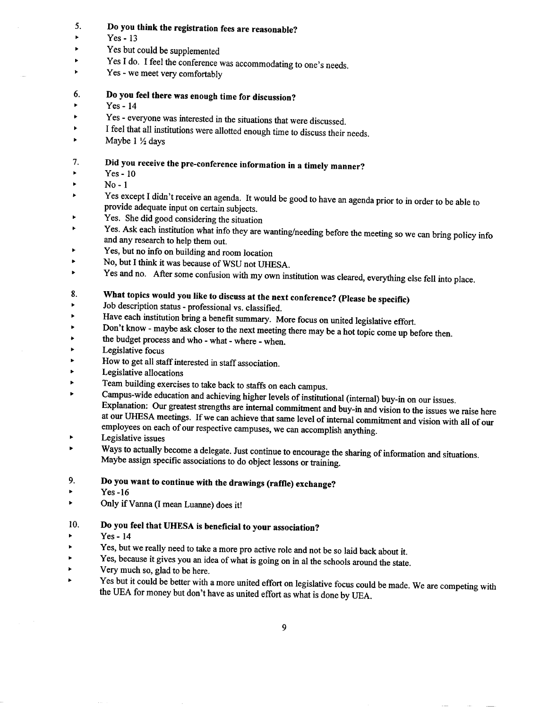#### **5. Do you think the registration fees are reasonable?**

- $\triangleright$  Yes 13
- Yes but could be supplemented
- Yes I do. I feel the conference was accommodating to one's needs.
- >• Yes we meet very comfortably
- **6. Do you feel there was enough time for discussion?**
- *<sup>&</sup>gt;* Yes 14
- Yes everyone was interested in the situations that were discussed.
- I feel that all institutions were allotted enough time to discuss their needs.
- >• Maybe 1 *Vi* days

### **7. Did you receive the pre-conference information in a timely manner?**

- *<sup>&</sup>gt;* Yes 10
- $\blacktriangleright$  No-1
- Yes except I didn't receive an agenda. It would be good to have an agenda prior to in order to be able to provide adequate input on certain subjects.
- *<sup>&</sup>gt;* Yes. She did good considering the situation
- Yes. Ask each institution what info they are wanting/needing before the meeting  $\frac{1}{2}$  $\bullet$ nd any research to help them out.
- *<sup>&</sup>gt;* Yes, but no info on building and room location
- No, but I think it was because of WSU not UHESA. k,
- Yes and no. After some confusion with my own institution was cleared, everything else fell into place. k

## **8. What topics would you like to discuss at the next conference? (Please be specific)**

- Job description status professional vs. classified. ь
- Have each institution bring a benefit summary. More focus on united legislative effort. ь
- *<sup>&</sup>gt;* Don't know maybe ask closer to the next meeting there may be a hot topic come up before then.
- the budget process and who what where when.
- Legislative focus
- How to get all staff interested in staff association.
- » Legislative allocations
- Team building exercises to take back to staffs on each campus.
- *<sup>&</sup>gt;* Campus-wide education and achieving higher levels of institutional (internal) buy-in on our issues. Explanation: Our greatest strengths are internal commitment and buy-in and vision to the issues we raise here at our UHESA meetings. If we can achieve that same level of internal commitment and vision with all of our employees on each of our respective campuses, we can accomplish anything.
- Þ *<sup>&</sup>gt;* Legislative issues
- *<sup>&</sup>gt;* Ways to actually become a delegate. Just continue to encourage the sharing of information and situations. Maybe assign specific associations to do object lessons or training.

#### **9. Do you want to continue with the drawings (raffle) exchange?**

- Ł  $Yes -16$
- k, Only if Vanna (I mean Luanne) does it!

#### 10. **Do you feel that UHESA is beneficial to your association?**

- Yes 14
- » Yes, but we really need to take a more pro active role and not be so laid back about it.
- Yes, because it gives you an idea of what is going on in al the schools around the state.
- Very much so, glad to be here.
- Yes but it could be better with a more united effort on legislative focus could be made. We are competing with the UEA for money but don't have as united effort as what is done by UEA.